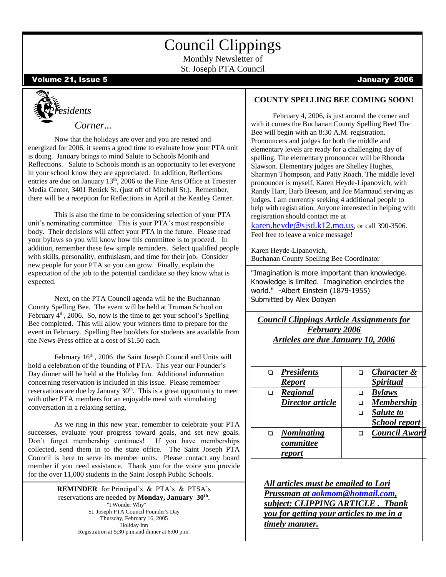## Council Clippings

Monthly Newsletter of St. Joseph PTA Council

Volume 21, Issue 5 January 2006



Now that the holidays are over and you are rested and energized for 2006, it seems a good time to evaluate how your PTA unit is doing. January brings to mind Salute to Schools Month and Reflections. Salute to Schools month is an opportunity to let everyone in your school know they are appreciated. In addition, Reflections entries are due on January 13<sup>th</sup>, 2006 to the Fine Arts Office at Troester Media Center, 3401 Renick St. (just off of Mitchell St.). Remember, there will be a reception for Reflections in April at the Keatley Center.

This is also the time to be considering selection of your PTA unit's nominating committee. This is your PTA's most responsible body. Their decisions will affect your PTA in the future. Please read your bylaws so you will know how this committee is to proceed. In addition, remember these few simple reminders. Select qualified people with skills, personality, enthusiasm, and time for their job. Consider new people for your PTA so you can grow. Finally, explain the expectation of the job to the potential candidate so they know what is expected.

February  $4<sup>th</sup>$ , 2006. So, now is the time to get your school's Spelling Bee completed. This will allow your winners time to prepare for the Next, on the PTA Council agenda will be the Buchannan County Spelling Bee. The event will be held at Truman School on event in February. Spelling Bee booklets for students are available from the News-Press office at a cost of \$1.50 each.

February  $16<sup>th</sup>$ , 2006 the Saint Joseph Council and Units will hold a celebration of the founding of PTA. This year our Founder's Day dinner will be held at the Holiday Inn. Additional information concerning reservation is included in this issue. Please remember reservations are due by January  $30<sup>th</sup>$ . This is a great opportunity to meet with other PTA members for an enjoyable meal with stimulating conversation in a relaxing setting.

As we ring in this new year, remember to celebrate your PTA successes, evaluate your progress toward goals, and set new goals. Don't forget membership continues! If you have memberships collected, send them in to the state office. The Saint Joseph PTA Council is here to serve its member units. Please contact any board member if you need assistance. Thank you for the voice you provide for the over 11,000 students in the Saint Joseph Public Schools.

> **REMINDER** for Principal's & PTA's & PTSA's reservations are needed by **Monday, January 30th** . "I Wonder Why" St. Joseph PTA Council Founder's Day Thursday, February 16, 2005 Holiday Inn Registration at 5:30 p.m.and dinner at 6:00 p.m.

#### **COUNTY SPELLING BEE COMING SOON!**

 February 4, 2006, is just around the corner and with it comes the Buchanan County Spelling Bee! The Bee will begin with an 8:30 A.M. registration. Pronouncers and judges for both the middle and elementary levels are ready for a challenging day of spelling. The elementary pronouncer will be Rhonda Slawson. Elementary judges are Shelley Hughes, Sharmyn Thompson, and Patty Roach. The middle level pronouncer is myself, Karen Heyde-Lipanovich, with Randy Harr, Barb Beeson, and Joe Marmaud serving as judges. I am currently seeking 4 additional people to help with registration. Anyone interested in helping with registration should contact me at

[karen.heyde@sjsd.k12.mo.us](http://by104fd.bay104.hotmail.msn.com/cgi-bin/compose?mailto=1&msg=3435BCE4-3129-4D0E-9621-63E0A0CFEE9B&start=0&len=4605&src=&type=x&to=karen.heyde@sjsd.k12.mo.us&cc=&bcc=&subject=&body=&curmbox=00000000-0000-0000-0000-000000000001&a=83c951d861), or call 390-3506. Feel free to leave a voice message!

Karen Heyde-Lipanovich, Buchanan County Spelling Bee Coordinator

"Imagination is more important than knowledge. Knowledge is limited. Imagination encircles the world." -Albert Einstein (1879-1955) Submitted by Alex Dobyan

*Council Clippings Article Assignments for February 2006 Articles are due January 10, 2006*

| <b>Presidents</b> | Character &             |
|-------------------|-------------------------|
| <b>Report</b>     | <i><b>Spiritual</b></i> |
| Regional          | <b>Bylaws</b>           |
| Director article  | <b>Membership</b>       |
|                   | Salute to               |
|                   | School report           |
| <b>Nominating</b> | Council Award           |
| committee         |                         |
| report            |                         |

*All articles must be emailed to Lori Prussman at [aokmom@hotmail.com,](mailto:aokmom@hotmail.com) subject: CLIPPING ARTICLE . Thank you for getting your articles to me in a timely manner.*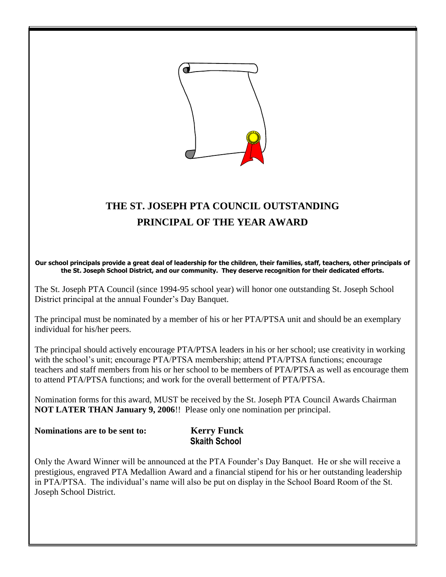

### **THE ST. JOSEPH PTA COUNCIL OUTSTANDING PRINCIPAL OF THE YEAR AWARD**

**Our school principals provide a great deal of leadership for the children, their families, staff, teachers, other principals of the St. Joseph School District, and our community. They deserve recognition for their dedicated efforts.**

The St. Joseph PTA Council (since 1994-95 school year) will honor one outstanding St. Joseph School District principal at the annual Founder's Day Banquet.

The principal must be nominated by a member of his or her PTA/PTSA unit and should be an exemplary individual for his/her peers.

The principal should actively encourage PTA/PTSA leaders in his or her school; use creativity in working with the school's unit; encourage PTA/PTSA membership; attend PTA/PTSA functions; encourage teachers and staff members from his or her school to be members of PTA/PTSA as well as encourage them to attend PTA/PTSA functions; and work for the overall betterment of PTA/PTSA.

Nomination forms for this award, MUST be received by the St. Joseph PTA Council Awards Chairman **NOT LATER THAN January 9, 2006**!! Please only one nomination per principal.

**Nominations are to be sent to: Kerry Funck**

**Skaith School**

Only the Award Winner will be announced at the PTA Founder's Day Banquet. He or she will receive a prestigious, engraved PTA Medallion Award and a financial stipend for his or her outstanding leadership in PTA/PTSA. The individual's name will also be put on display in the School Board Room of the St. Joseph School District.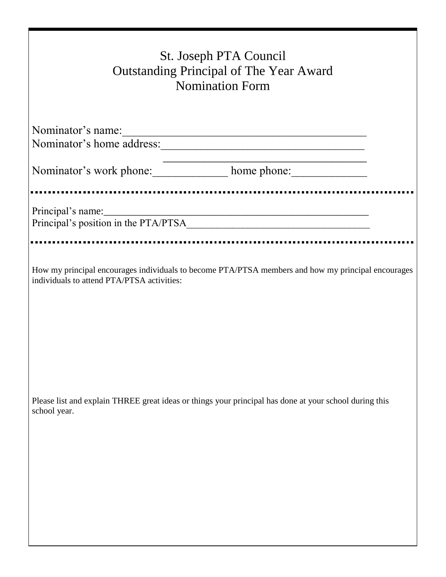| St. Joseph PTA Council<br><b>Outstanding Principal of The Year Award</b><br><b>Nomination Form</b>                                               |  |  |  |  |  |
|--------------------------------------------------------------------------------------------------------------------------------------------------|--|--|--|--|--|
| Nominator's name:<br>Nominator's home address:                                                                                                   |  |  |  |  |  |
| Nominator's work phone: home phone: home phone:                                                                                                  |  |  |  |  |  |
| Principal's name:<br>Principal's position in the PTA/PTSA                                                                                        |  |  |  |  |  |
| How my principal encourages individuals to become PTA/PTSA members and how my principal encourages<br>individuals to attend PTA/PTSA activities: |  |  |  |  |  |
|                                                                                                                                                  |  |  |  |  |  |
| Please list and explain THREE great ideas or things your principal has done at your school during this<br>school year.                           |  |  |  |  |  |
|                                                                                                                                                  |  |  |  |  |  |
|                                                                                                                                                  |  |  |  |  |  |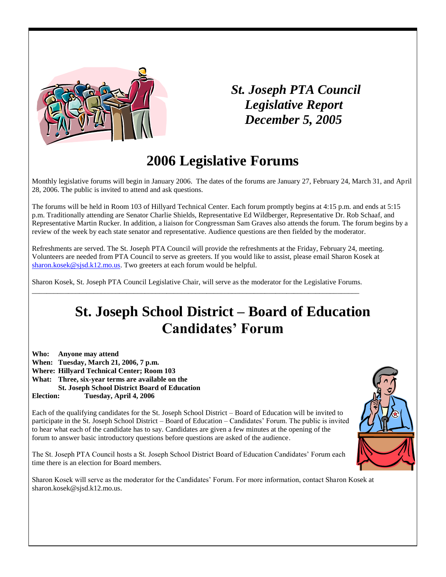

### *St. Joseph PTA Council Legislative Report December 5, 2005*

## **2006 Legislative Forums**

Monthly legislative forums will begin in January 2006. The dates of the forums are January 27, February 24, March 31, and April 28, 2006. The public is invited to attend and ask questions.

The forums will be held in Room 103 of Hillyard Technical Center. Each forum promptly begins at 4:15 p.m. and ends at 5:15 p.m. Traditionally attending are Senator Charlie Shields, Representative Ed Wildberger, Representative Dr. Rob Schaaf, and Representative Martin Rucker. In addition, a liaison for Congressman Sam Graves also attends the forum. The forum begins by a review of the week by each state senator and representative. Audience questions are then fielded by the moderator.

Refreshments are served. The St. Joseph PTA Council will provide the refreshments at the Friday, February 24, meeting. Volunteers are needed from PTA Council to serve as greeters. If you would like to assist, please email Sharon Kosek at [sharon.kosek@sjsd.k12.mo.us.](mailto:sharon.kosek@sjsd.k12.mo.us) Two greeters at each forum would be helpful.

Sharon Kosek, St. Joseph PTA Council Legislative Chair, will serve as the moderator for the Legislative Forums. \_\_\_\_\_\_\_\_\_\_\_\_\_\_\_\_\_\_\_\_\_\_\_\_\_\_\_\_\_\_\_\_\_\_\_\_\_\_\_\_\_\_\_\_\_\_\_\_\_\_\_\_\_\_\_\_\_\_\_\_\_\_\_\_\_\_\_\_\_\_\_\_\_\_\_\_\_\_\_\_\_\_\_\_\_\_\_\_\_\_

## **St. Joseph School District – Board of Education Candidates' Forum**

**Who: Anyone may attend When: Tuesday, March 21, 2006, 7 p.m. Where: Hillyard Technical Center; Room 103 What: Three, six-year terms are available on the St. Joseph School District Board of Education**

**Election: Tuesday, April 4, 2006**

Each of the qualifying candidates for the St. Joseph School District – Board of Education will be invited to participate in the St. Joseph School District – Board of Education – Candidates' Forum. The public is invited to hear what each of the candidate has to say. Candidates are given a few minutes at the opening of the forum to answer basic introductory questions before questions are asked of the audience.

The St. Joseph PTA Council hosts a St. Joseph School District Board of Education Candidates' Forum each time there is an election for Board members.

Sharon Kosek will serve as the moderator for the Candidates' Forum. For more information, contact Sharon Kosek at sharon.kosek@sjsd.k12.mo.us.

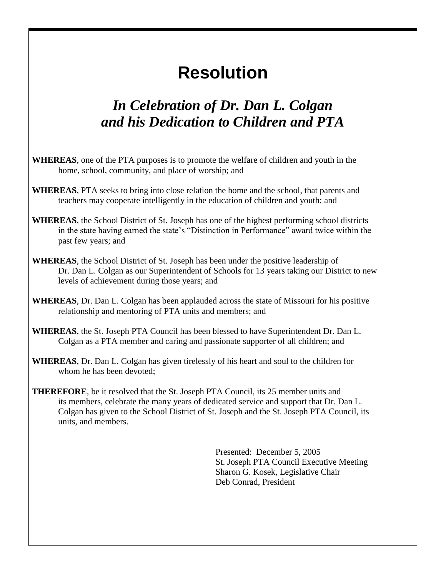## **Resolution**

## *In Celebration of Dr. Dan L. Colgan and his Dedication to Children and PTA*

- **WHEREAS**, one of the PTA purposes is to promote the welfare of children and youth in the home, school, community, and place of worship; and
- **WHEREAS**, PTA seeks to bring into close relation the home and the school, that parents and teachers may cooperate intelligently in the education of children and youth; and
- **WHEREAS**, the School District of St. Joseph has one of the highest performing school districts in the state having earned the state's "Distinction in Performance" award twice within the past few years; and
- **WHEREAS**, the School District of St. Joseph has been under the positive leadership of Dr. Dan L. Colgan as our Superintendent of Schools for 13 years taking our District to new levels of achievement during those years; and
- **WHEREAS**, Dr. Dan L. Colgan has been applauded across the state of Missouri for his positive relationship and mentoring of PTA units and members; and
- **WHEREAS**, the St. Joseph PTA Council has been blessed to have Superintendent Dr. Dan L. Colgan as a PTA member and caring and passionate supporter of all children; and
- **WHEREAS**, Dr. Dan L. Colgan has given tirelessly of his heart and soul to the children for whom he has been devoted;
- **THEREFORE**, be it resolved that the St. Joseph PTA Council, its 25 member units and its members, celebrate the many years of dedicated service and support that Dr. Dan L. Colgan has given to the School District of St. Joseph and the St. Joseph PTA Council, its units, and members.

Presented: December 5, 2005 St. Joseph PTA Council Executive Meeting Sharon G. Kosek, Legislative Chair Deb Conrad, President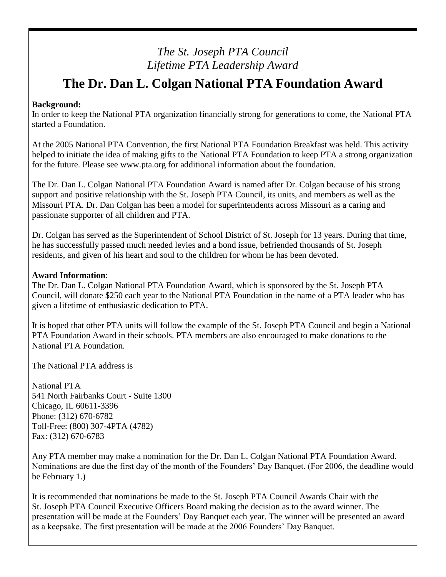### *The St. Joseph PTA Council Lifetime PTA Leadership Award*

## **The Dr. Dan L. Colgan National PTA Foundation Award**

#### **Background:**

In order to keep the National PTA organization financially strong for generations to come, the National PTA started a Foundation.

At the 2005 National PTA Convention, the first National PTA Foundation Breakfast was held. This activity helped to initiate the idea of making gifts to the National PTA Foundation to keep PTA a strong organization for the future. Please see www.pta.org for additional information about the foundation.

The Dr. Dan L. Colgan National PTA Foundation Award is named after Dr. Colgan because of his strong support and positive relationship with the St. Joseph PTA Council, its units, and members as well as the Missouri PTA. Dr. Dan Colgan has been a model for superintendents across Missouri as a caring and passionate supporter of all children and PTA.

Dr. Colgan has served as the Superintendent of School District of St. Joseph for 13 years. During that time, he has successfully passed much needed levies and a bond issue, befriended thousands of St. Joseph residents, and given of his heart and soul to the children for whom he has been devoted.

#### **Award Information**:

The Dr. Dan L. Colgan National PTA Foundation Award, which is sponsored by the St. Joseph PTA Council, will donate \$250 each year to the National PTA Foundation in the name of a PTA leader who has given a lifetime of enthusiastic dedication to PTA.

It is hoped that other PTA units will follow the example of the St. Joseph PTA Council and begin a National PTA Foundation Award in their schools. PTA members are also encouraged to make donations to the National PTA Foundation.

The National PTA address is

National PTA 541 North Fairbanks Court - Suite 1300 Chicago, IL 60611-3396 Phone: (312) 670-6782 Toll-Free: (800) 307-4PTA (4782) Fax: (312) 670-6783

Any PTA member may make a nomination for the Dr. Dan L. Colgan National PTA Foundation Award. Nominations are due the first day of the month of the Founders' Day Banquet. (For 2006, the deadline would be February 1.)

It is recommended that nominations be made to the St. Joseph PTA Council Awards Chair with the St. Joseph PTA Council Executive Officers Board making the decision as to the award winner. The presentation will be made at the Founders' Day Banquet each year. The winner will be presented an award as a keepsake. The first presentation will be made at the 2006 Founders' Day Banquet.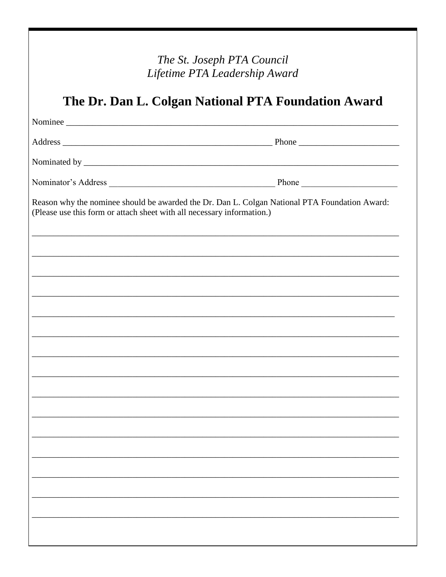| The St. Joseph PTA Council<br>Lifetime PTA Leadership Award<br>The Dr. Dan L. Colgan National PTA Foundation Award |                                                                                               |  |  |  |  |  |  |
|--------------------------------------------------------------------------------------------------------------------|-----------------------------------------------------------------------------------------------|--|--|--|--|--|--|
|                                                                                                                    |                                                                                               |  |  |  |  |  |  |
|                                                                                                                    |                                                                                               |  |  |  |  |  |  |
|                                                                                                                    |                                                                                               |  |  |  |  |  |  |
| (Please use this form or attach sheet with all necessary information.)                                             | Reason why the nominee should be awarded the Dr. Dan L. Colgan National PTA Foundation Award: |  |  |  |  |  |  |
|                                                                                                                    |                                                                                               |  |  |  |  |  |  |
|                                                                                                                    |                                                                                               |  |  |  |  |  |  |
|                                                                                                                    |                                                                                               |  |  |  |  |  |  |
|                                                                                                                    |                                                                                               |  |  |  |  |  |  |
|                                                                                                                    |                                                                                               |  |  |  |  |  |  |
|                                                                                                                    |                                                                                               |  |  |  |  |  |  |
|                                                                                                                    |                                                                                               |  |  |  |  |  |  |
|                                                                                                                    |                                                                                               |  |  |  |  |  |  |
|                                                                                                                    |                                                                                               |  |  |  |  |  |  |
|                                                                                                                    |                                                                                               |  |  |  |  |  |  |
|                                                                                                                    |                                                                                               |  |  |  |  |  |  |
|                                                                                                                    |                                                                                               |  |  |  |  |  |  |
|                                                                                                                    |                                                                                               |  |  |  |  |  |  |
|                                                                                                                    |                                                                                               |  |  |  |  |  |  |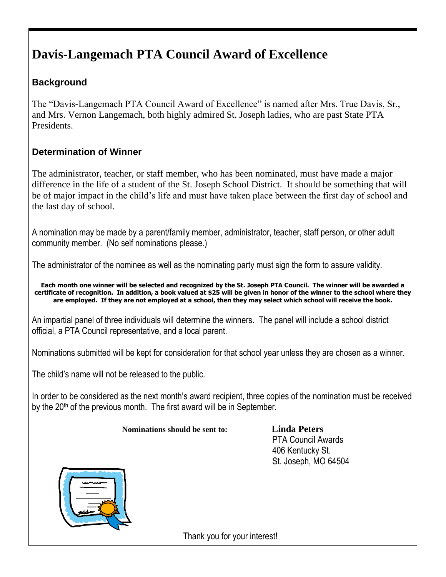## **Davis-Langemach PTA Council Award of Excellence**

### **Background**

The "Davis-Langemach PTA Council Award of Excellence" is named after Mrs. True Davis, Sr., and Mrs. Vernon Langemach, both highly admired St. Joseph ladies, who are past State PTA Presidents.

### **Determination of Winner**

The administrator, teacher, or staff member, who has been nominated, must have made a major difference in the life of a student of the St. Joseph School District. It should be something that will be of major impact in the child's life and must have taken place between the first day of school and the last day of school.

A nomination may be made by a parent/family member, administrator, teacher, staff person, or other adult community member. (No self nominations please.)

The administrator of the nominee as well as the nominating party must sign the form to assure validity.

**Each month one winner will be selected and recognized by the St. Joseph PTA Council. The winner will be awarded a certificate of recognition. In addition, a book valued at \$25 will be given in honor of the winner to the school where they are employed. If they are not employed at a school, then they may select which school will receive the book.**

An impartial panel of three individuals will determine the winners. The panel will include a school district official, a PTA Council representative, and a local parent.

Nominations submitted will be kept for consideration for that school year unless they are chosen as a winner.

The child's name will not be released to the public.

In order to be considered as the next month's award recipient, three copies of the nomination must be received by the  $20<sup>th</sup>$  of the previous month. The first award will be in September.

#### **Nominations should be sent to: Linda Peters**

 PTA Council Awards 406 Kentucky St. St. Joseph, MO 64504



Thank you for your interest!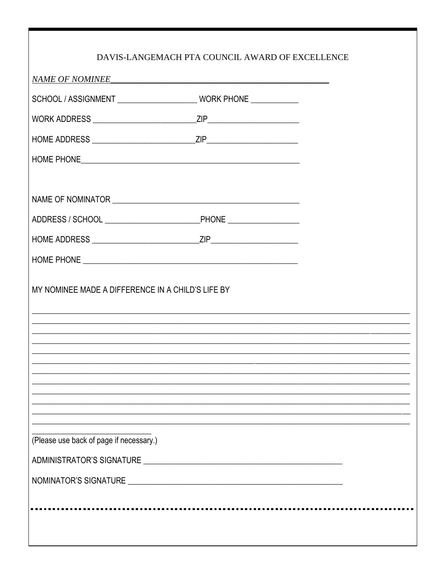|                                                   | DAVIS-LANGEMACH PTA COUNCIL AWARD OF EXCELLENCE |                                                                                   |
|---------------------------------------------------|-------------------------------------------------|-----------------------------------------------------------------------------------|
| NAME OF NOMINEE                                   |                                                 |                                                                                   |
|                                                   |                                                 |                                                                                   |
|                                                   |                                                 |                                                                                   |
|                                                   |                                                 |                                                                                   |
|                                                   |                                                 |                                                                                   |
|                                                   |                                                 |                                                                                   |
|                                                   |                                                 |                                                                                   |
|                                                   |                                                 |                                                                                   |
|                                                   |                                                 |                                                                                   |
|                                                   |                                                 |                                                                                   |
| MY NOMINEE MADE A DIFFERENCE IN A CHILD'S LIFE BY |                                                 | ,我们也不能在这里的人,我们也不能在这里的人,我们也不能在这里的人,我们也不能在这里的人,我们也不能在这里的人,我们也不能在这里的人,我们也不能在这里的人,我们也 |
|                                                   |                                                 |                                                                                   |
| (Please use back of page if necessary.)           |                                                 |                                                                                   |
|                                                   |                                                 |                                                                                   |
|                                                   |                                                 |                                                                                   |
|                                                   |                                                 |                                                                                   |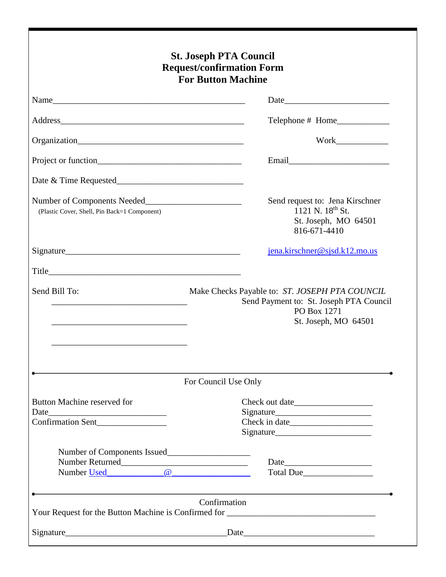| <b>St. Joseph PTA Council</b><br><b>Request/confirmation Form</b><br><b>For Button Machine</b> |                                                                                                                                  |  |  |  |
|------------------------------------------------------------------------------------------------|----------------------------------------------------------------------------------------------------------------------------------|--|--|--|
|                                                                                                |                                                                                                                                  |  |  |  |
|                                                                                                |                                                                                                                                  |  |  |  |
|                                                                                                |                                                                                                                                  |  |  |  |
|                                                                                                |                                                                                                                                  |  |  |  |
|                                                                                                |                                                                                                                                  |  |  |  |
| (Plastic Cover, Shell, Pin Back=1 Component)                                                   | Send request to: Jena Kirschner<br>1121 N. $18^{th}$ St.<br>St. Joseph, MO 64501<br>816-671-4410                                 |  |  |  |
|                                                                                                | jena.kirschner@sjsd.k12.mo.us                                                                                                    |  |  |  |
|                                                                                                |                                                                                                                                  |  |  |  |
| Send Bill To:                                                                                  | Make Checks Payable to: ST. JOSEPH PTA COUNCIL<br>Send Payment to: St. Joseph PTA Council<br>PO Box 1271<br>St. Joseph, MO 64501 |  |  |  |
|                                                                                                | For Council Use Only                                                                                                             |  |  |  |
| Button Machine reserved for<br><b>Confirmation Sent</b>                                        |                                                                                                                                  |  |  |  |
| Number of Components Issued<br>Number Returned<br>Number Used <u>@</u>                         | Total Due                                                                                                                        |  |  |  |
|                                                                                                | Confirmation                                                                                                                     |  |  |  |
|                                                                                                |                                                                                                                                  |  |  |  |